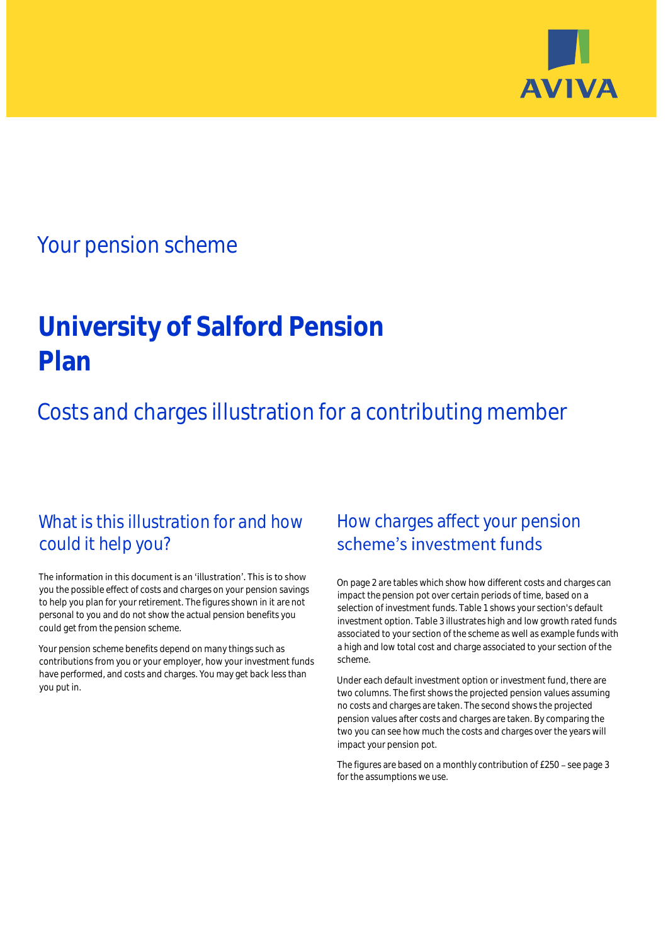

## Your pension scheme

# **University of Salford Pension Plan**

Costs and charges illustration for a contributing member

### What is this illustration for and how could it help you?

#### The information in this document is an 'illustration'. This is to show you the possible effect of costs and charges on your pension savings to help you plan for your retirement. The figures shown in it are not personal to you and do not show the actual pension benefits you could get from the pension scheme.

Your pension scheme benefits depend on many things such as contributions from you or your employer, how your investment funds have performed, and costs and charges. You may get back less than you put in.

### How charges affect your pension scheme's investment funds

On page 2 are tables which show how different costs and charges can impact the pension pot over certain periods of time, based on a selection of investment funds. Table 1 shows your section's default investment option. Table 3 illustrates high and low growth rated funds associated to your section of the scheme as well as example funds with a high and low total cost and charge associated to your section of the scheme.

Under each default investment option or investment fund, there are two columns. The first shows the projected pension values assuming no costs and charges are taken. The second shows the projected pension values after costs and charges are taken. By comparing the two you can see how much the costs and charges over the years will impact your pension pot.

The figures are based on a monthly contribution of £250 - see page 3 for the assumptions we use.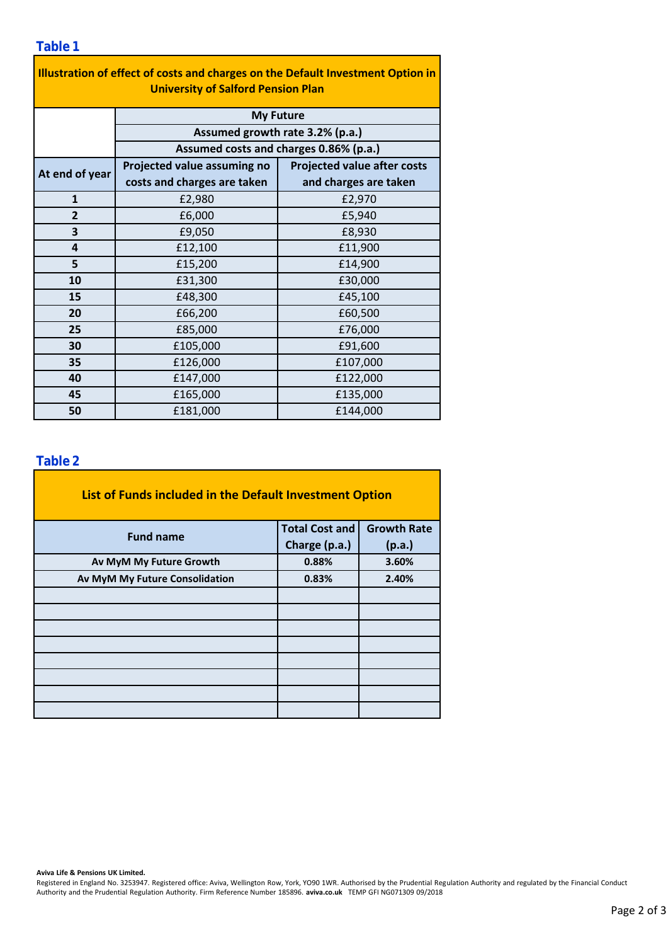#### **Table 1**

| Illustration of effect of costs and charges on the Default Investment Option in<br><b>University of Salford Pension Plan</b> |                                                     |                                    |  |  |  |  |  |  |
|------------------------------------------------------------------------------------------------------------------------------|-----------------------------------------------------|------------------------------------|--|--|--|--|--|--|
|                                                                                                                              | <b>My Future</b><br>Assumed growth rate 3.2% (p.a.) |                                    |  |  |  |  |  |  |
|                                                                                                                              |                                                     |                                    |  |  |  |  |  |  |
|                                                                                                                              | Assumed costs and charges 0.86% (p.a.)              |                                    |  |  |  |  |  |  |
| At end of year                                                                                                               | Projected value assuming no                         | <b>Projected value after costs</b> |  |  |  |  |  |  |
|                                                                                                                              | costs and charges are taken                         | and charges are taken              |  |  |  |  |  |  |
| $\mathbf{1}$                                                                                                                 | £2,980                                              | £2,970                             |  |  |  |  |  |  |
| $\overline{2}$                                                                                                               | £6,000                                              | £5,940                             |  |  |  |  |  |  |
| 3                                                                                                                            | £9,050                                              | £8,930                             |  |  |  |  |  |  |
| 4                                                                                                                            | £12,100                                             | £11,900                            |  |  |  |  |  |  |
| 5                                                                                                                            | £15,200                                             | £14,900                            |  |  |  |  |  |  |
| 10                                                                                                                           | £31,300                                             | £30,000                            |  |  |  |  |  |  |
| 15                                                                                                                           | £48,300                                             | £45,100                            |  |  |  |  |  |  |
| 20                                                                                                                           | £66,200                                             | £60,500                            |  |  |  |  |  |  |
| 25                                                                                                                           | £85,000                                             | £76,000                            |  |  |  |  |  |  |
| 30                                                                                                                           | £105,000                                            | £91,600                            |  |  |  |  |  |  |
| 35                                                                                                                           | £126,000                                            | £107,000                           |  |  |  |  |  |  |
| 40                                                                                                                           | £147,000                                            | £122,000                           |  |  |  |  |  |  |
| 45                                                                                                                           | £165,000                                            | £135,000                           |  |  |  |  |  |  |
| 50                                                                                                                           | £181,000                                            | £144,000                           |  |  |  |  |  |  |

### **Table 2**

| List of Funds included in the Default Investment Option |                       |                    |
|---------------------------------------------------------|-----------------------|--------------------|
| <b>Fund name</b>                                        | <b>Total Cost and</b> | <b>Growth Rate</b> |
|                                                         | Charge (p.a.)         | (p.a.)             |
| Av MyM My Future Growth                                 | 0.88%                 | 3.60%              |
| Av MyM My Future Consolidation                          | 0.83%                 | 2.40%              |
|                                                         |                       |                    |
|                                                         |                       |                    |
|                                                         |                       |                    |
|                                                         |                       |                    |
|                                                         |                       |                    |
|                                                         |                       |                    |
|                                                         |                       |                    |
|                                                         |                       |                    |

#### **Aviva Life & Pensions UK Limited.**

Registered in England No. 3253947. Registered office: Aviva, Wellington Row, York, YO90 1WR. Authorised by the Prudential Regulation Authority and regulated by the Financial Conduct Authority and the Prudential Regulation Authority. Firm Reference Number 185896. **aviva.co.uk** TEMP GFI NG071309 09/2018